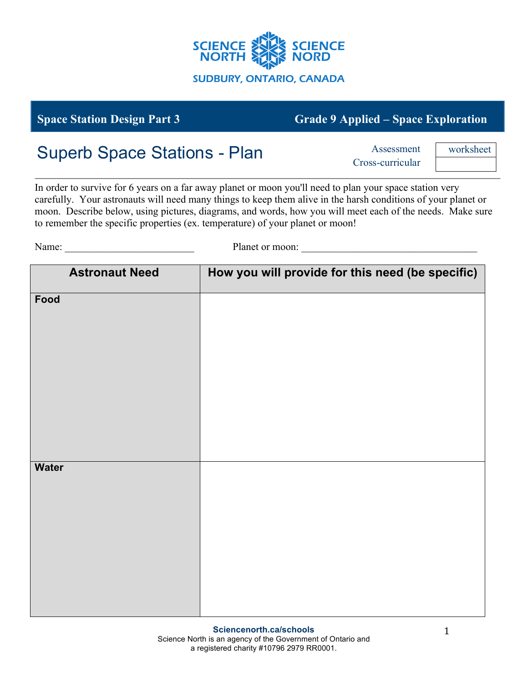

## **Space Station Design Part 3 Grade 9 Applied – Space Exploration**

## Superb Space Stations - Plan

Cross-curricular

worksheet

In order to survive for 6 years on a far away planet or moon you'll need to plan your space station very carefully. Your astronauts will need many things to keep them alive in the harsh conditions of your planet or moon. Describe below, using pictures, diagrams, and words, how you will meet each of the needs. Make sure to remember the specific properties (ex. temperature) of your planet or moon!

Name: \_\_\_\_\_\_\_\_\_\_\_\_\_\_\_\_\_\_\_\_\_\_\_\_\_ Planet or moon: \_\_\_\_\_\_\_\_\_\_\_\_\_\_\_\_\_\_\_\_\_\_\_\_\_\_\_\_\_\_\_\_\_\_

| <b>Astronaut Need</b> | How you will provide for this need (be specific) |
|-----------------------|--------------------------------------------------|
| Food                  |                                                  |
|                       |                                                  |
|                       |                                                  |
|                       |                                                  |
|                       |                                                  |
|                       |                                                  |
| <b>Water</b>          |                                                  |
|                       |                                                  |
|                       |                                                  |
|                       |                                                  |
|                       |                                                  |
|                       |                                                  |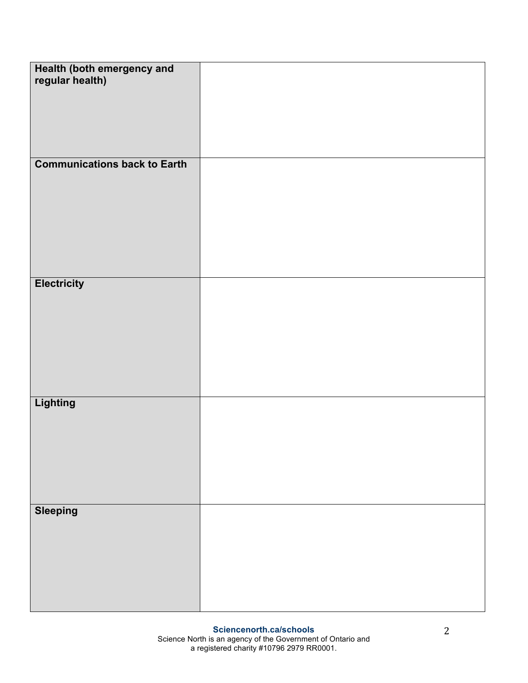| Health (both emergency and<br>regular health) |  |
|-----------------------------------------------|--|
|                                               |  |
|                                               |  |
| <b>Communications back to Earth</b>           |  |
|                                               |  |
|                                               |  |
|                                               |  |
|                                               |  |
|                                               |  |
| <b>Electricity</b>                            |  |
|                                               |  |
|                                               |  |
|                                               |  |
|                                               |  |
|                                               |  |
| Lighting                                      |  |
|                                               |  |
|                                               |  |
|                                               |  |
|                                               |  |
| <b>Sleeping</b>                               |  |
|                                               |  |
|                                               |  |
|                                               |  |
|                                               |  |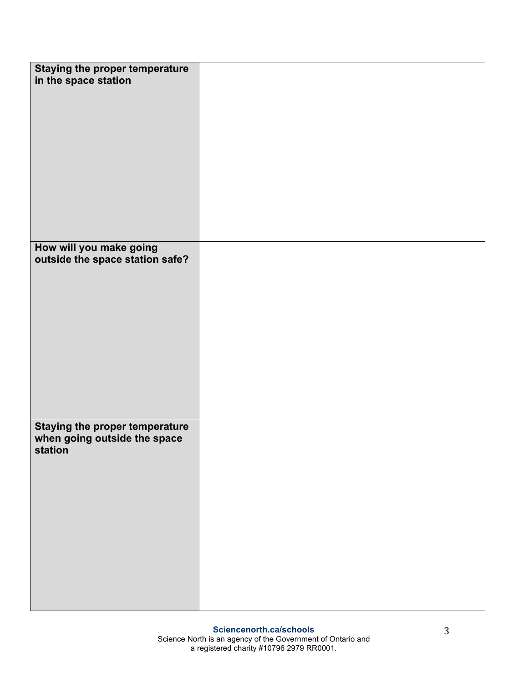| <b>Staying the proper temperature</b><br>in the space station                    |  |
|----------------------------------------------------------------------------------|--|
|                                                                                  |  |
|                                                                                  |  |
| How will you make going<br>outside the space station safe?                       |  |
|                                                                                  |  |
|                                                                                  |  |
|                                                                                  |  |
|                                                                                  |  |
|                                                                                  |  |
|                                                                                  |  |
|                                                                                  |  |
| <b>Staying the proper temperature</b><br>when going outside the space<br>station |  |
|                                                                                  |  |
|                                                                                  |  |
|                                                                                  |  |
|                                                                                  |  |
|                                                                                  |  |
|                                                                                  |  |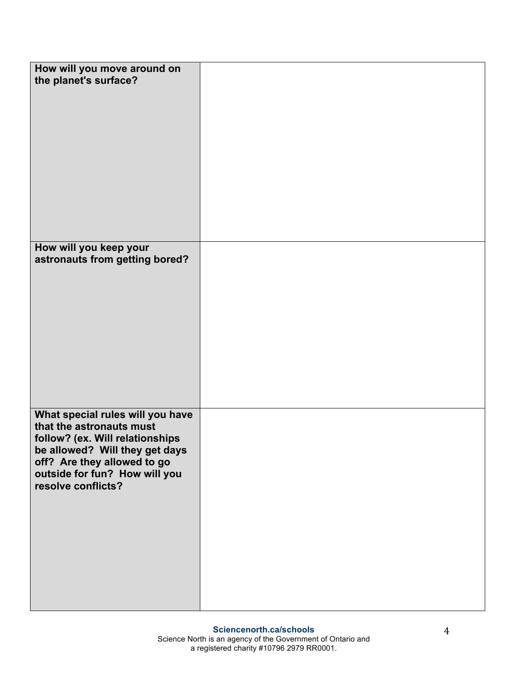| How will you move around on<br>the planet's surface?                                                                                                                                                                    |  |
|-------------------------------------------------------------------------------------------------------------------------------------------------------------------------------------------------------------------------|--|
| How will you keep your<br>astronauts from getting bored?                                                                                                                                                                |  |
|                                                                                                                                                                                                                         |  |
| What special rules will you have<br>that the astronauts must<br>follow? (ex. Will relationships<br>be allowed? Will they get days<br>off? Are they allowed to go<br>outside for fun? How will you<br>resolve conflicts? |  |